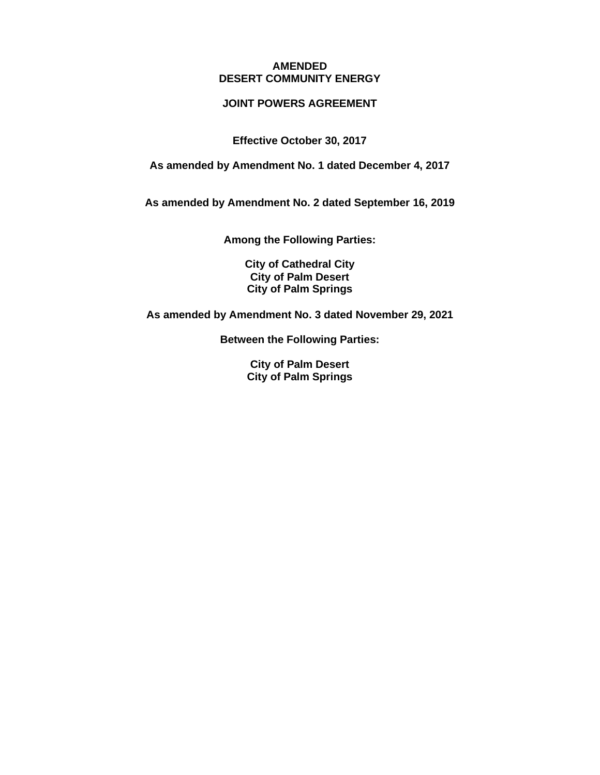#### **AMENDED DESERT COMMUNITY ENERGY**

### **JOINT POWERS AGREEMENT**

**Effective October 30, 2017**

**As amended by Amendment No. 1 dated December 4, 2017**

**As amended by Amendment No. 2 dated September 16, 2019**

**Among the Following Parties:**

**City of Cathedral City City of Palm Desert City of Palm Springs**

**As amended by Amendment No. 3 dated November 29, 2021**

**Between the Following Parties:**

**City of Palm Desert City of Palm Springs**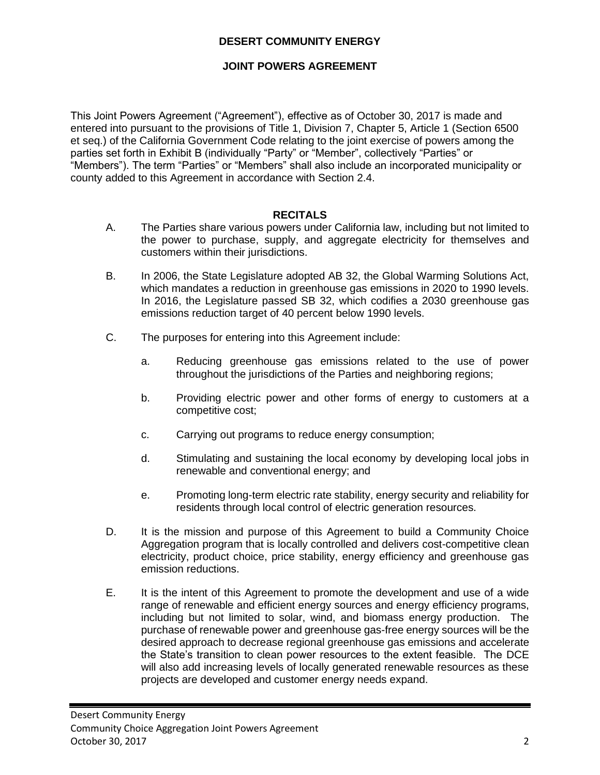### **DESERT COMMUNITY ENERGY**

### **JOINT POWERS AGREEMENT**

This Joint Powers Agreement ("Agreement"), effective as of October 30, 2017 is made and entered into pursuant to the provisions of Title 1, Division 7, Chapter 5, Article 1 (Section 6500 et seq.) of the California Government Code relating to the joint exercise of powers among the parties set forth in Exhibit B (individually "Party" or "Member", collectively "Parties" or "Members"). The term "Parties" or "Members" shall also include an incorporated municipality or county added to this Agreement in accordance with Section 2.4.

### **RECITALS**

- A. The Parties share various powers under California law, including but not limited to the power to purchase, supply, and aggregate electricity for themselves and customers within their jurisdictions.
- B. In 2006, the State Legislature adopted AB 32, the Global Warming Solutions Act, which mandates a reduction in greenhouse gas emissions in 2020 to 1990 levels. In 2016, the Legislature passed SB 32, which codifies a 2030 greenhouse gas emissions reduction target of 40 percent below 1990 levels.
- C. The purposes for entering into this Agreement include:
	- a. Reducing greenhouse gas emissions related to the use of power throughout the jurisdictions of the Parties and neighboring regions;
	- b. Providing electric power and other forms of energy to customers at a competitive cost;
	- c. Carrying out programs to reduce energy consumption;
	- d. Stimulating and sustaining the local economy by developing local jobs in renewable and conventional energy; and
	- e. Promoting long-term electric rate stability, energy security and reliability for residents through local control of electric generation resources.
- D. It is the mission and purpose of this Agreement to build a Community Choice Aggregation program that is locally controlled and delivers cost-competitive clean electricity, product choice, price stability, energy efficiency and greenhouse gas emission reductions.
- E. It is the intent of this Agreement to promote the development and use of a wide range of renewable and efficient energy sources and energy efficiency programs, including but not limited to solar, wind, and biomass energy production. The purchase of renewable power and greenhouse gas-free energy sources will be the desired approach to decrease regional greenhouse gas emissions and accelerate the State's transition to clean power resources to the extent feasible. The DCE will also add increasing levels of locally generated renewable resources as these projects are developed and customer energy needs expand.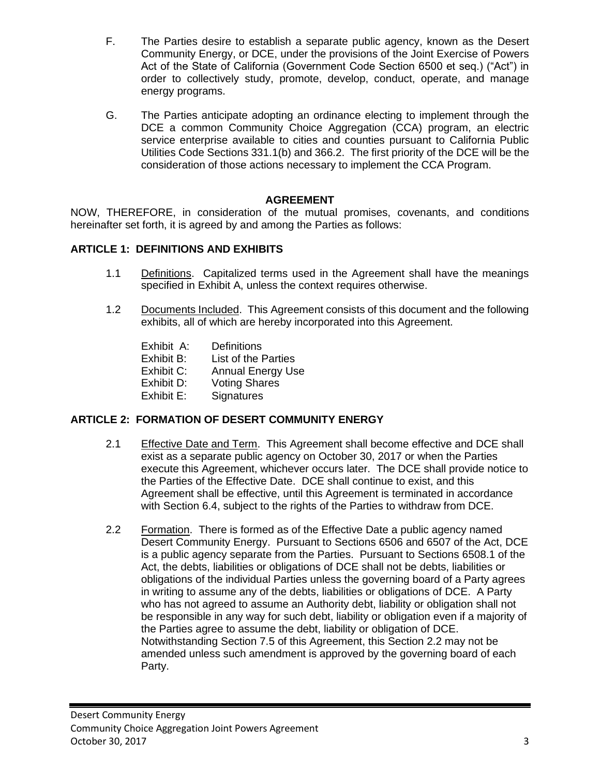- F. The Parties desire to establish a separate public agency, known as the Desert Community Energy, or DCE, under the provisions of the Joint Exercise of Powers Act of the State of California (Government Code Section 6500 et seq.) ("Act") in order to collectively study, promote, develop, conduct, operate, and manage energy programs.
- G. The Parties anticipate adopting an ordinance electing to implement through the DCE a common Community Choice Aggregation (CCA) program, an electric service enterprise available to cities and counties pursuant to California Public Utilities Code Sections 331.1(b) and 366.2. The first priority of the DCE will be the consideration of those actions necessary to implement the CCA Program.

## **AGREEMENT**

NOW, THEREFORE, in consideration of the mutual promises, covenants, and conditions hereinafter set forth, it is agreed by and among the Parties as follows:

### **ARTICLE 1: DEFINITIONS AND EXHIBITS**

- 1.1 Definitions. Capitalized terms used in the Agreement shall have the meanings specified in Exhibit A, unless the context requires otherwise.
- 1.2 Documents Included. This Agreement consists of this document and the following exhibits, all of which are hereby incorporated into this Agreement.
	- Exhibit A: Definitions
	- Exhibit B: List of the Parties
	- Exhibit C: Annual Energy Use
	- Exhibit D: Voting Shares
	- Exhibit E: Signatures

## **ARTICLE 2: FORMATION OF DESERT COMMUNITY ENERGY**

- 2.1 Effective Date and Term. This Agreement shall become effective and DCE shall exist as a separate public agency on October 30, 2017 or when the Parties execute this Agreement, whichever occurs later. The DCE shall provide notice to the Parties of the Effective Date. DCE shall continue to exist, and this Agreement shall be effective, until this Agreement is terminated in accordance with Section 6.4, subject to the rights of the Parties to withdraw from DCE.
- 2.2 Formation. There is formed as of the Effective Date a public agency named Desert Community Energy. Pursuant to Sections 6506 and 6507 of the Act, DCE is a public agency separate from the Parties. Pursuant to Sections 6508.1 of the Act, the debts, liabilities or obligations of DCE shall not be debts, liabilities or obligations of the individual Parties unless the governing board of a Party agrees in writing to assume any of the debts, liabilities or obligations of DCE. A Party who has not agreed to assume an Authority debt, liability or obligation shall not be responsible in any way for such debt, liability or obligation even if a majority of the Parties agree to assume the debt, liability or obligation of DCE. Notwithstanding Section 7.5 of this Agreement, this Section 2.2 may not be amended unless such amendment is approved by the governing board of each Party.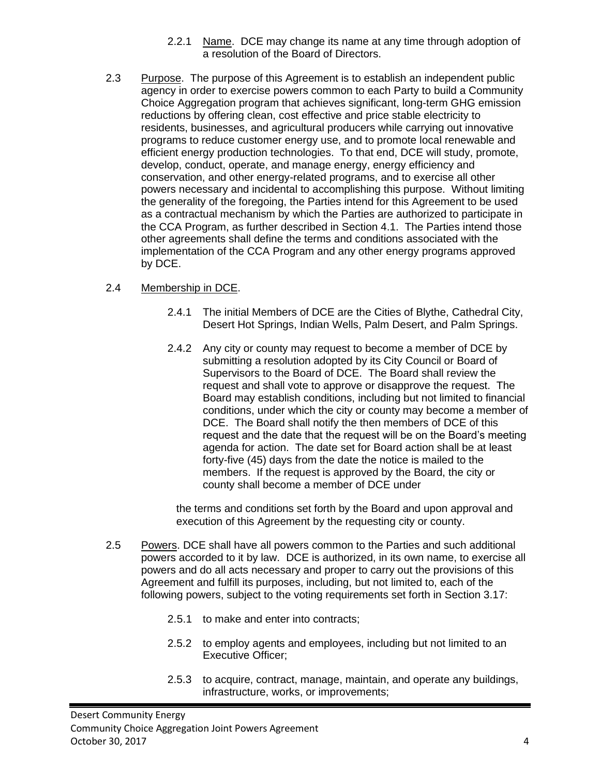- 2.2.1 Name. DCE may change its name at any time through adoption of a resolution of the Board of Directors.
- 2.3 Purpose. The purpose of this Agreement is to establish an independent public agency in order to exercise powers common to each Party to build a Community Choice Aggregation program that achieves significant, long-term GHG emission reductions by offering clean, cost effective and price stable electricity to residents, businesses, and agricultural producers while carrying out innovative programs to reduce customer energy use, and to promote local renewable and efficient energy production technologies. To that end, DCE will study, promote, develop, conduct, operate, and manage energy, energy efficiency and conservation, and other energy-related programs, and to exercise all other powers necessary and incidental to accomplishing this purpose. Without limiting the generality of the foregoing, the Parties intend for this Agreement to be used as a contractual mechanism by which the Parties are authorized to participate in the CCA Program, as further described in Section 4.1. The Parties intend those other agreements shall define the terms and conditions associated with the implementation of the CCA Program and any other energy programs approved by DCE.

## 2.4 Membership in DCE.

- 2.4.1 The initial Members of DCE are the Cities of Blythe, Cathedral City, Desert Hot Springs, Indian Wells, Palm Desert, and Palm Springs.
- 2.4.2 Any city or county may request to become a member of DCE by submitting a resolution adopted by its City Council or Board of Supervisors to the Board of DCE. The Board shall review the request and shall vote to approve or disapprove the request. The Board may establish conditions, including but not limited to financial conditions, under which the city or county may become a member of DCE. The Board shall notify the then members of DCE of this request and the date that the request will be on the Board's meeting agenda for action. The date set for Board action shall be at least forty-five (45) days from the date the notice is mailed to the members. If the request is approved by the Board, the city or county shall become a member of DCE under

the terms and conditions set forth by the Board and upon approval and execution of this Agreement by the requesting city or county.

- 2.5 Powers. DCE shall have all powers common to the Parties and such additional powers accorded to it by law. DCE is authorized, in its own name, to exercise all powers and do all acts necessary and proper to carry out the provisions of this Agreement and fulfill its purposes, including, but not limited to, each of the following powers, subject to the voting requirements set forth in Section 3.17:
	- 2.5.1 to make and enter into contracts;
	- 2.5.2 to employ agents and employees, including but not limited to an Executive Officer;
	- 2.5.3 to acquire, contract, manage, maintain, and operate any buildings, infrastructure, works, or improvements;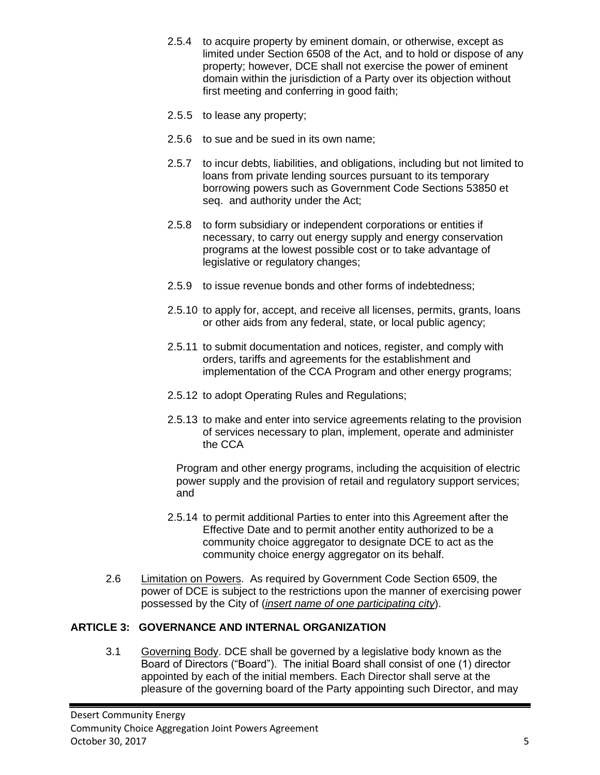- 2.5.4 to acquire property by eminent domain, or otherwise, except as limited under Section 6508 of the Act, and to hold or dispose of any property; however, DCE shall not exercise the power of eminent domain within the jurisdiction of a Party over its objection without first meeting and conferring in good faith;
- 2.5.5 to lease any property;
- 2.5.6 to sue and be sued in its own name;
- 2.5.7 to incur debts, liabilities, and obligations, including but not limited to loans from private lending sources pursuant to its temporary borrowing powers such as Government Code Sections 53850 et seq. and authority under the Act;
- 2.5.8 to form subsidiary or independent corporations or entities if necessary, to carry out energy supply and energy conservation programs at the lowest possible cost or to take advantage of legislative or regulatory changes;
- 2.5.9 to issue revenue bonds and other forms of indebtedness;
- 2.5.10 to apply for, accept, and receive all licenses, permits, grants, loans or other aids from any federal, state, or local public agency;
- 2.5.11 to submit documentation and notices, register, and comply with orders, tariffs and agreements for the establishment and implementation of the CCA Program and other energy programs;
- 2.5.12 to adopt Operating Rules and Regulations;
- 2.5.13 to make and enter into service agreements relating to the provision of services necessary to plan, implement, operate and administer the CCA

Program and other energy programs, including the acquisition of electric power supply and the provision of retail and regulatory support services; and

- 2.5.14 to permit additional Parties to enter into this Agreement after the Effective Date and to permit another entity authorized to be a community choice aggregator to designate DCE to act as the community choice energy aggregator on its behalf.
- 2.6 Limitation on Powers. As required by Government Code Section 6509, the power of DCE is subject to the restrictions upon the manner of exercising power possessed by the City of (*insert name of one participating city*).

## **ARTICLE 3: GOVERNANCE AND INTERNAL ORGANIZATION**

3.1 Governing Body. DCE shall be governed by a legislative body known as the Board of Directors ("Board"). The initial Board shall consist of one (1) director appointed by each of the initial members. Each Director shall serve at the pleasure of the governing board of the Party appointing such Director, and may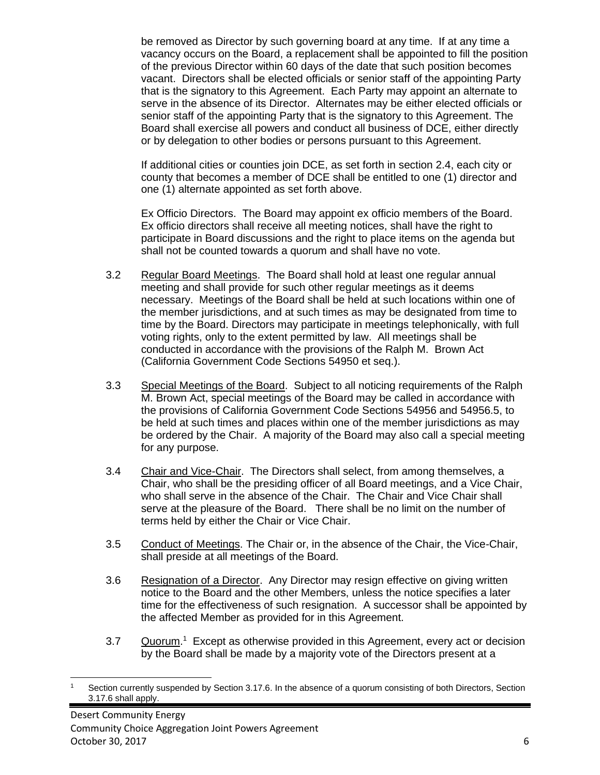be removed as Director by such governing board at any time. If at any time a vacancy occurs on the Board, a replacement shall be appointed to fill the position of the previous Director within 60 days of the date that such position becomes vacant. Directors shall be elected officials or senior staff of the appointing Party that is the signatory to this Agreement. Each Party may appoint an alternate to serve in the absence of its Director. Alternates may be either elected officials or senior staff of the appointing Party that is the signatory to this Agreement. The Board shall exercise all powers and conduct all business of DCE, either directly or by delegation to other bodies or persons pursuant to this Agreement.

If additional cities or counties join DCE, as set forth in section 2.4, each city or county that becomes a member of DCE shall be entitled to one (1) director and one (1) alternate appointed as set forth above.

Ex Officio Directors. The Board may appoint ex officio members of the Board. Ex officio directors shall receive all meeting notices, shall have the right to participate in Board discussions and the right to place items on the agenda but shall not be counted towards a quorum and shall have no vote.

- 3.2 Regular Board Meetings. The Board shall hold at least one regular annual meeting and shall provide for such other regular meetings as it deems necessary. Meetings of the Board shall be held at such locations within one of the member jurisdictions, and at such times as may be designated from time to time by the Board. Directors may participate in meetings telephonically, with full voting rights, only to the extent permitted by law. All meetings shall be conducted in accordance with the provisions of the Ralph M. Brown Act (California Government Code Sections 54950 et seq.).
- 3.3 Special Meetings of the Board. Subject to all noticing requirements of the Ralph M. Brown Act, special meetings of the Board may be called in accordance with the provisions of California Government Code Sections 54956 and 54956.5, to be held at such times and places within one of the member jurisdictions as may be ordered by the Chair. A majority of the Board may also call a special meeting for any purpose.
- 3.4 Chair and Vice-Chair. The Directors shall select, from among themselves, a Chair, who shall be the presiding officer of all Board meetings, and a Vice Chair, who shall serve in the absence of the Chair. The Chair and Vice Chair shall serve at the pleasure of the Board. There shall be no limit on the number of terms held by either the Chair or Vice Chair.
- 3.5 Conduct of Meetings. The Chair or, in the absence of the Chair, the Vice-Chair, shall preside at all meetings of the Board.
- 3.6 Resignation of a Director. Any Director may resign effective on giving written notice to the Board and the other Members, unless the notice specifies a later time for the effectiveness of such resignation. A successor shall be appointed by the affected Member as provided for in this Agreement.
- 3.7 Cuorum.<sup>1</sup> Except as otherwise provided in this Agreement, every act or decision by the Board shall be made by a majority vote of the Directors present at a

Section currently suspended by Section 3.17.6. In the absence of a quorum consisting of both Directors, Section 3.17.6 shall apply.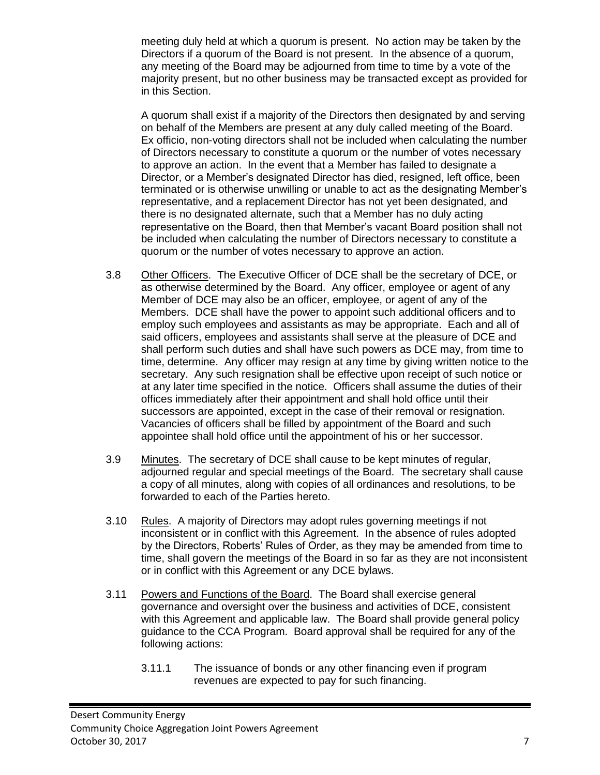meeting duly held at which a quorum is present. No action may be taken by the Directors if a quorum of the Board is not present. In the absence of a quorum, any meeting of the Board may be adjourned from time to time by a vote of the majority present, but no other business may be transacted except as provided for in this Section.

A quorum shall exist if a majority of the Directors then designated by and serving on behalf of the Members are present at any duly called meeting of the Board. Ex officio, non-voting directors shall not be included when calculating the number of Directors necessary to constitute a quorum or the number of votes necessary to approve an action. In the event that a Member has failed to designate a Director, or a Member's designated Director has died, resigned, left office, been terminated or is otherwise unwilling or unable to act as the designating Member's representative, and a replacement Director has not yet been designated, and there is no designated alternate, such that a Member has no duly acting representative on the Board, then that Member's vacant Board position shall not be included when calculating the number of Directors necessary to constitute a quorum or the number of votes necessary to approve an action.

- 3.8 Other Officers. The Executive Officer of DCE shall be the secretary of DCE, or as otherwise determined by the Board. Any officer, employee or agent of any Member of DCE may also be an officer, employee, or agent of any of the Members. DCE shall have the power to appoint such additional officers and to employ such employees and assistants as may be appropriate. Each and all of said officers, employees and assistants shall serve at the pleasure of DCE and shall perform such duties and shall have such powers as DCE may, from time to time, determine. Any officer may resign at any time by giving written notice to the secretary. Any such resignation shall be effective upon receipt of such notice or at any later time specified in the notice. Officers shall assume the duties of their offices immediately after their appointment and shall hold office until their successors are appointed, except in the case of their removal or resignation. Vacancies of officers shall be filled by appointment of the Board and such appointee shall hold office until the appointment of his or her successor.
- 3.9 Minutes. The secretary of DCE shall cause to be kept minutes of regular, adjourned regular and special meetings of the Board. The secretary shall cause a copy of all minutes, along with copies of all ordinances and resolutions, to be forwarded to each of the Parties hereto.
- 3.10 Rules. A majority of Directors may adopt rules governing meetings if not inconsistent or in conflict with this Agreement. In the absence of rules adopted by the Directors, Roberts' Rules of Order, as they may be amended from time to time, shall govern the meetings of the Board in so far as they are not inconsistent or in conflict with this Agreement or any DCE bylaws.
- 3.11 Powers and Functions of the Board. The Board shall exercise general governance and oversight over the business and activities of DCE, consistent with this Agreement and applicable law. The Board shall provide general policy guidance to the CCA Program. Board approval shall be required for any of the following actions:
	- 3.11.1 The issuance of bonds or any other financing even if program revenues are expected to pay for such financing.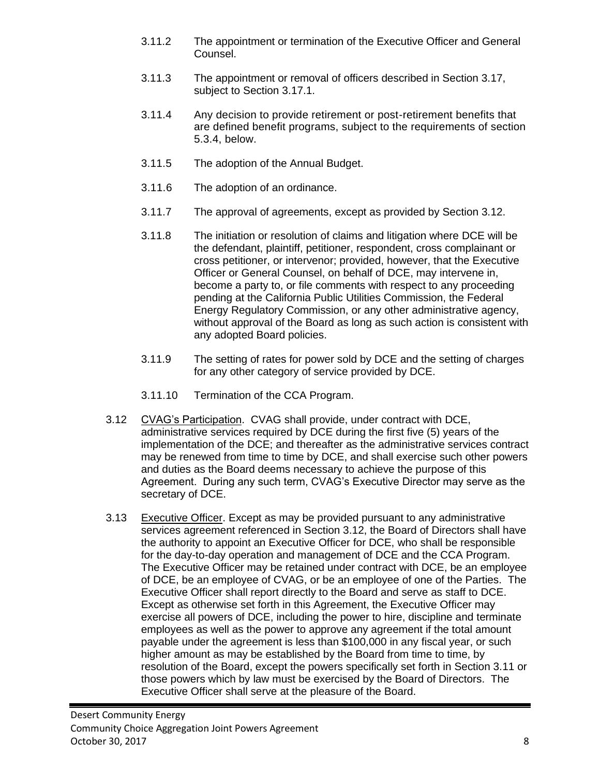- 3.11.2 The appointment or termination of the Executive Officer and General Counsel.
- 3.11.3 The appointment or removal of officers described in Section 3.17, subject to Section 3.17.1.
- 3.11.4 Any decision to provide retirement or post-retirement benefits that are defined benefit programs, subject to the requirements of section 5.3.4, below.
- 3.11.5 The adoption of the Annual Budget.
- 3.11.6 The adoption of an ordinance.
- 3.11.7 The approval of agreements, except as provided by Section 3.12.
- 3.11.8 The initiation or resolution of claims and litigation where DCE will be the defendant, plaintiff, petitioner, respondent, cross complainant or cross petitioner, or intervenor; provided, however, that the Executive Officer or General Counsel, on behalf of DCE, may intervene in, become a party to, or file comments with respect to any proceeding pending at the California Public Utilities Commission, the Federal Energy Regulatory Commission, or any other administrative agency, without approval of the Board as long as such action is consistent with any adopted Board policies.
- 3.11.9 The setting of rates for power sold by DCE and the setting of charges for any other category of service provided by DCE.
- 3.11.10 Termination of the CCA Program.
- 3.12 CVAG's Participation. CVAG shall provide, under contract with DCE, administrative services required by DCE during the first five (5) years of the implementation of the DCE; and thereafter as the administrative services contract may be renewed from time to time by DCE, and shall exercise such other powers and duties as the Board deems necessary to achieve the purpose of this Agreement. During any such term, CVAG's Executive Director may serve as the secretary of DCE.
- 3.13 Executive Officer. Except as may be provided pursuant to any administrative services agreement referenced in Section 3.12, the Board of Directors shall have the authority to appoint an Executive Officer for DCE, who shall be responsible for the day-to-day operation and management of DCE and the CCA Program. The Executive Officer may be retained under contract with DCE, be an employee of DCE, be an employee of CVAG, or be an employee of one of the Parties. The Executive Officer shall report directly to the Board and serve as staff to DCE. Except as otherwise set forth in this Agreement, the Executive Officer may exercise all powers of DCE, including the power to hire, discipline and terminate employees as well as the power to approve any agreement if the total amount payable under the agreement is less than \$100,000 in any fiscal year, or such higher amount as may be established by the Board from time to time, by resolution of the Board, except the powers specifically set forth in Section 3.11 or those powers which by law must be exercised by the Board of Directors. The Executive Officer shall serve at the pleasure of the Board.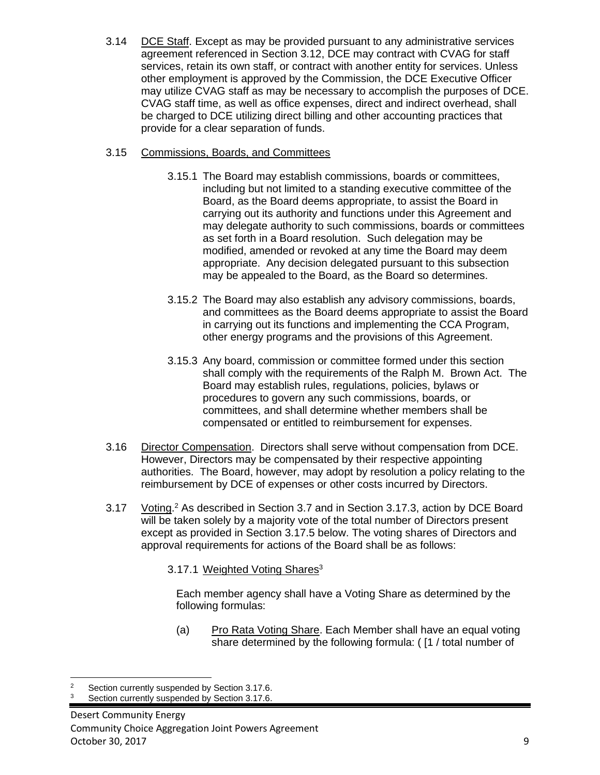3.14 DCE Staff. Except as may be provided pursuant to any administrative services agreement referenced in Section 3.12, DCE may contract with CVAG for staff services, retain its own staff, or contract with another entity for services. Unless other employment is approved by the Commission, the DCE Executive Officer may utilize CVAG staff as may be necessary to accomplish the purposes of DCE. CVAG staff time, as well as office expenses, direct and indirect overhead, shall be charged to DCE utilizing direct billing and other accounting practices that provide for a clear separation of funds.

## 3.15 Commissions, Boards, and Committees

- 3.15.1 The Board may establish commissions, boards or committees, including but not limited to a standing executive committee of the Board, as the Board deems appropriate, to assist the Board in carrying out its authority and functions under this Agreement and may delegate authority to such commissions, boards or committees as set forth in a Board resolution. Such delegation may be modified, amended or revoked at any time the Board may deem appropriate. Any decision delegated pursuant to this subsection may be appealed to the Board, as the Board so determines.
- 3.15.2 The Board may also establish any advisory commissions, boards, and committees as the Board deems appropriate to assist the Board in carrying out its functions and implementing the CCA Program, other energy programs and the provisions of this Agreement.
- 3.15.3 Any board, commission or committee formed under this section shall comply with the requirements of the Ralph M. Brown Act. The Board may establish rules, regulations, policies, bylaws or procedures to govern any such commissions, boards, or committees, and shall determine whether members shall be compensated or entitled to reimbursement for expenses.
- 3.16 Director Compensation. Directors shall serve without compensation from DCE. However, Directors may be compensated by their respective appointing authorities. The Board, however, may adopt by resolution a policy relating to the reimbursement by DCE of expenses or other costs incurred by Directors.
- 3.17 Voting.<sup>2</sup> As described in Section 3.7 and in Section 3.17.3, action by DCE Board will be taken solely by a majority vote of the total number of Directors present except as provided in Section 3.17.5 below. The voting shares of Directors and approval requirements for actions of the Board shall be as follows:

## 3.17.1 Weighted Voting Shares<sup>3</sup>

Each member agency shall have a Voting Share as determined by the following formulas:

(a) Pro Rata Voting Share. Each Member shall have an equal voting share determined by the following formula: ( [1 / total number of

Section currently suspended by Section 3.17.6.

Section currently suspended by Section 3.17.6.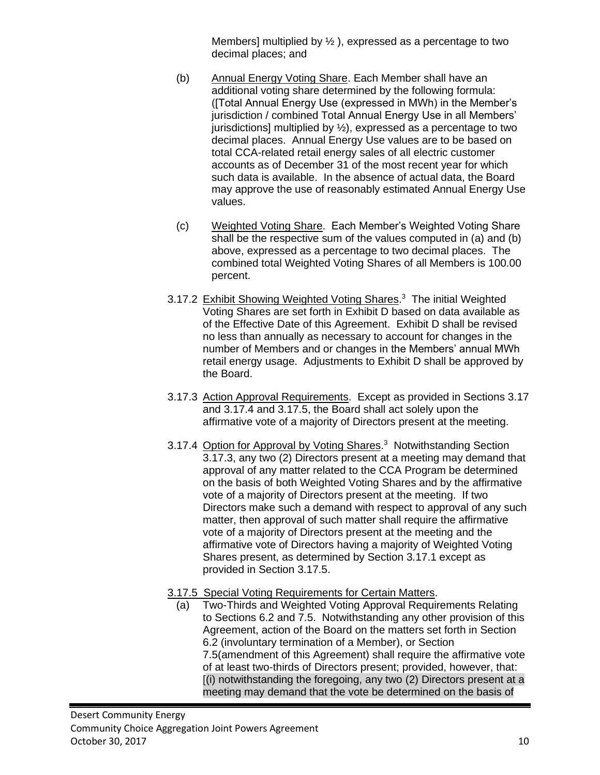Members] multiplied by  $\frac{1}{2}$ , expressed as a percentage to two decimal places; and

- (b) Annual Energy Voting Share. Each Member shall have an additional voting share determined by the following formula: ([Total Annual Energy Use (expressed in MWh) in the Member's jurisdiction / combined Total Annual Energy Use in all Members' jurisdictions] multiplied by  $\frac{1}{2}$ , expressed as a percentage to two decimal places. Annual Energy Use values are to be based on total CCA-related retail energy sales of all electric customer accounts as of December 31 of the most recent year for which such data is available. In the absence of actual data, the Board may approve the use of reasonably estimated Annual Energy Use values.
- (c) Weighted Voting Share. Each Member's Weighted Voting Share shall be the respective sum of the values computed in (a) and (b) above, expressed as a percentage to two decimal places. The combined total Weighted Voting Shares of all Members is 100.00 percent.
- 3.17.2 Exhibit Showing Weighted Voting Shares.<sup>3</sup> The initial Weighted Voting Shares are set forth in Exhibit D based on data available as of the Effective Date of this Agreement. Exhibit D shall be revised no less than annually as necessary to account for changes in the number of Members and or changes in the Members' annual MWh retail energy usage. Adjustments to Exhibit D shall be approved by the Board.
- 3.17.3 Action Approval Requirements. Except as provided in Sections 3.17 and 3.17.4 and 3.17.5, the Board shall act solely upon the affirmative vote of a majority of Directors present at the meeting.
- 3.17.4 Option for Approval by Voting Shares.<sup>3</sup> Notwithstanding Section 3.17.3, any two (2) Directors present at a meeting may demand that approval of any matter related to the CCA Program be determined on the basis of both Weighted Voting Shares and by the affirmative vote of a majority of Directors present at the meeting. If two Directors make such a demand with respect to approval of any such matter, then approval of such matter shall require the affirmative vote of a majority of Directors present at the meeting and the affirmative vote of Directors having a majority of Weighted Voting Shares present, as determined by Section 3.17.1 except as provided in Section 3.17.5.
- 3.17.5 Special Voting Requirements for Certain Matters.
	- (a) Two-Thirds and Weighted Voting Approval Requirements Relating to Sections 6.2 and 7.5. Notwithstanding any other provision of this Agreement, action of the Board on the matters set forth in Section 6.2 (involuntary termination of a Member), or Section 7.5(amendment of this Agreement) shall require the affirmative vote of at least two-thirds of Directors present; provided, however, that: [(i) notwithstanding the foregoing, any two (2) Directors present at a meeting may demand that the vote be determined on the basis of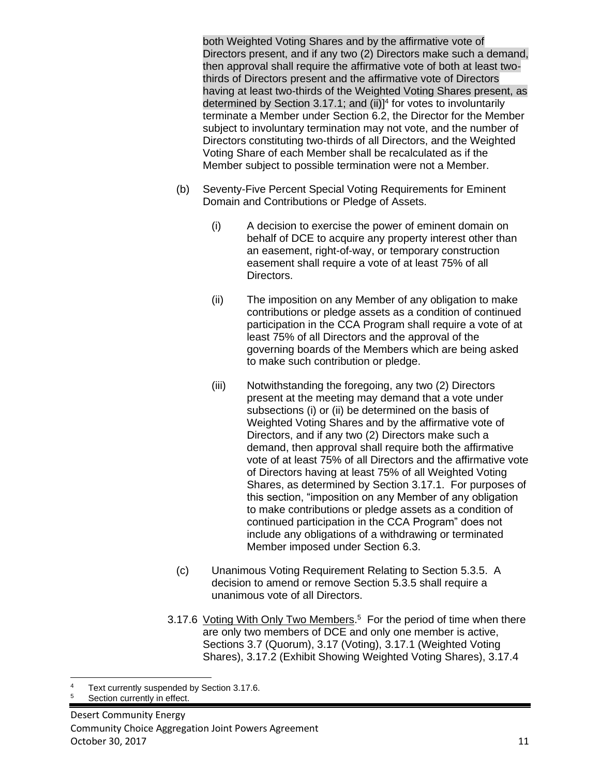both Weighted Voting Shares and by the affirmative vote of Directors present, and if any two (2) Directors make such a demand, then approval shall require the affirmative vote of both at least twothirds of Directors present and the affirmative vote of Directors having at least two-thirds of the Weighted Voting Shares present, as determined by Section 3.17.1; and (ii)]<sup>4</sup> for votes to involuntarily terminate a Member under Section 6.2, the Director for the Member subject to involuntary termination may not vote, and the number of Directors constituting two-thirds of all Directors, and the Weighted Voting Share of each Member shall be recalculated as if the Member subject to possible termination were not a Member.

- (b) Seventy-Five Percent Special Voting Requirements for Eminent Domain and Contributions or Pledge of Assets.
	- (i) A decision to exercise the power of eminent domain on behalf of DCE to acquire any property interest other than an easement, right-of-way, or temporary construction easement shall require a vote of at least 75% of all Directors.
	- (ii) The imposition on any Member of any obligation to make contributions or pledge assets as a condition of continued participation in the CCA Program shall require a vote of at least 75% of all Directors and the approval of the governing boards of the Members which are being asked to make such contribution or pledge.
	- (iii) Notwithstanding the foregoing, any two (2) Directors present at the meeting may demand that a vote under subsections (i) or (ii) be determined on the basis of Weighted Voting Shares and by the affirmative vote of Directors, and if any two (2) Directors make such a demand, then approval shall require both the affirmative vote of at least 75% of all Directors and the affirmative vote of Directors having at least 75% of all Weighted Voting Shares, as determined by Section 3.17.1. For purposes of this section, "imposition on any Member of any obligation to make contributions or pledge assets as a condition of continued participation in the CCA Program" does not include any obligations of a withdrawing or terminated Member imposed under Section 6.3.
- (c) Unanimous Voting Requirement Relating to Section 5.3.5. A decision to amend or remove Section 5.3.5 shall require a unanimous vote of all Directors.
- 3.17.6 Voting With Only Two Members.<sup>5</sup> For the period of time when there are only two members of DCE and only one member is active, Sections 3.7 (Quorum), 3.17 (Voting), 3.17.1 (Weighted Voting Shares), 3.17.2 (Exhibit Showing Weighted Voting Shares), 3.17.4

Text currently suspended by Section 3.17.6.

Section currently in effect.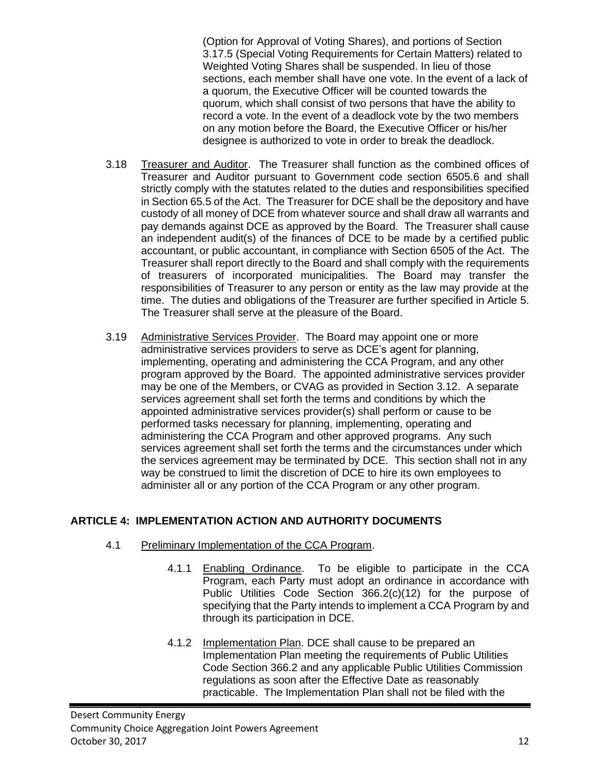(Option for Approval of Voting Shares), and portions of Section 3.17.5 (Special Voting Requirements for Certain Matters) related to Weighted Voting Shares shall be suspended. In lieu of those sections, each member shall have one vote. In the event of a lack of a quorum, the Executive Officer will be counted towards the quorum, which shall consist of two persons that have the ability to record a vote. In the event of a deadlock vote by the two members on any motion before the Board, the Executive Officer or his/her designee is authorized to vote in order to break the deadlock.

- 3.18 Treasurer and Auditor. The Treasurer shall function as the combined offices of Treasurer and Auditor pursuant to Government code section 6505.6 and shall strictly comply with the statutes related to the duties and responsibilities specified in Section 65.5 of the Act. The Treasurer for DCE shall be the depository and have custody of all money of DCE from whatever source and shall draw all warrants and pay demands against DCE as approved by the Board. The Treasurer shall cause an independent audit(s) of the finances of DCE to be made by a certified public accountant, or public accountant, in compliance with Section 6505 of the Act. The Treasurer shall report directly to the Board and shall comply with the requirements of treasurers of incorporated municipalities. The Board may transfer the responsibilities of Treasurer to any person or entity as the law may provide at the time. The duties and obligations of the Treasurer are further specified in Article 5. The Treasurer shall serve at the pleasure of the Board.
- 3.19 Administrative Services Provider. The Board may appoint one or more administrative services providers to serve as DCE's agent for planning, implementing, operating and administering the CCA Program, and any other program approved by the Board. The appointed administrative services provider may be one of the Members, or CVAG as provided in Section 3.12. A separate services agreement shall set forth the terms and conditions by which the appointed administrative services provider(s) shall perform or cause to be performed tasks necessary for planning, implementing, operating and administering the CCA Program and other approved programs. Any such services agreement shall set forth the terms and the circumstances under which the services agreement may be terminated by DCE. This section shall not in any way be construed to limit the discretion of DCE to hire its own employees to administer all or any portion of the CCA Program or any other program.

# **ARTICLE 4: IMPLEMENTATION ACTION AND AUTHORITY DOCUMENTS**

- 4.1 Preliminary Implementation of the CCA Program.
	- 4.1.1 Enabling Ordinance. To be eligible to participate in the CCA Program, each Party must adopt an ordinance in accordance with Public Utilities Code Section 366.2(c)(12) for the purpose of specifying that the Party intends to implement a CCA Program by and through its participation in DCE.
	- 4.1.2 Implementation Plan. DCE shall cause to be prepared an Implementation Plan meeting the requirements of Public Utilities Code Section 366.2 and any applicable Public Utilities Commission regulations as soon after the Effective Date as reasonably practicable. The Implementation Plan shall not be filed with the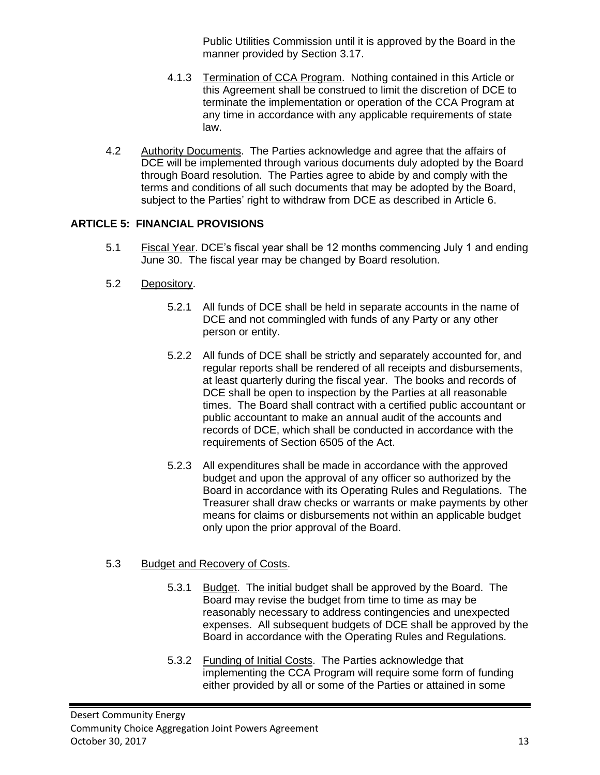Public Utilities Commission until it is approved by the Board in the manner provided by Section 3.17.

- 4.1.3 Termination of CCA Program. Nothing contained in this Article or this Agreement shall be construed to limit the discretion of DCE to terminate the implementation or operation of the CCA Program at any time in accordance with any applicable requirements of state law.
- 4.2 Authority Documents. The Parties acknowledge and agree that the affairs of DCE will be implemented through various documents duly adopted by the Board through Board resolution. The Parties agree to abide by and comply with the terms and conditions of all such documents that may be adopted by the Board, subject to the Parties' right to withdraw from DCE as described in Article 6.

# **ARTICLE 5: FINANCIAL PROVISIONS**

- 5.1 Fiscal Year. DCE's fiscal year shall be 12 months commencing July 1 and ending June 30. The fiscal year may be changed by Board resolution.
- 5.2 Depository.
	- 5.2.1 All funds of DCE shall be held in separate accounts in the name of DCE and not commingled with funds of any Party or any other person or entity.
	- 5.2.2 All funds of DCE shall be strictly and separately accounted for, and regular reports shall be rendered of all receipts and disbursements, at least quarterly during the fiscal year. The books and records of DCE shall be open to inspection by the Parties at all reasonable times. The Board shall contract with a certified public accountant or public accountant to make an annual audit of the accounts and records of DCE, which shall be conducted in accordance with the requirements of Section 6505 of the Act.
	- 5.2.3 All expenditures shall be made in accordance with the approved budget and upon the approval of any officer so authorized by the Board in accordance with its Operating Rules and Regulations. The Treasurer shall draw checks or warrants or make payments by other means for claims or disbursements not within an applicable budget only upon the prior approval of the Board.

# 5.3 Budget and Recovery of Costs.

- 5.3.1 Budget. The initial budget shall be approved by the Board. The Board may revise the budget from time to time as may be reasonably necessary to address contingencies and unexpected expenses. All subsequent budgets of DCE shall be approved by the Board in accordance with the Operating Rules and Regulations.
- 5.3.2 Funding of Initial Costs. The Parties acknowledge that implementing the CCA Program will require some form of funding either provided by all or some of the Parties or attained in some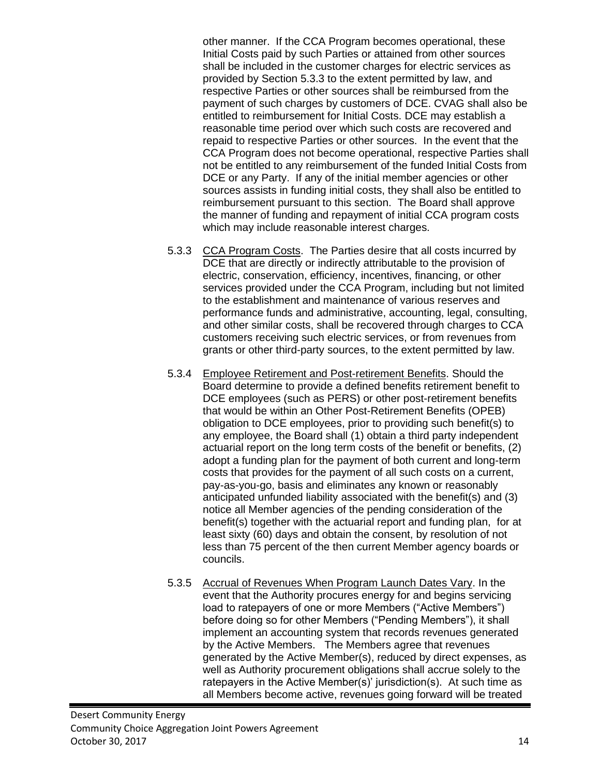other manner. If the CCA Program becomes operational, these Initial Costs paid by such Parties or attained from other sources shall be included in the customer charges for electric services as provided by Section 5.3.3 to the extent permitted by law, and respective Parties or other sources shall be reimbursed from the payment of such charges by customers of DCE. CVAG shall also be entitled to reimbursement for Initial Costs. DCE may establish a reasonable time period over which such costs are recovered and repaid to respective Parties or other sources. In the event that the CCA Program does not become operational, respective Parties shall not be entitled to any reimbursement of the funded Initial Costs from DCE or any Party. If any of the initial member agencies or other sources assists in funding initial costs, they shall also be entitled to reimbursement pursuant to this section. The Board shall approve the manner of funding and repayment of initial CCA program costs which may include reasonable interest charges.

- 5.3.3 CCA Program Costs. The Parties desire that all costs incurred by DCE that are directly or indirectly attributable to the provision of electric, conservation, efficiency, incentives, financing, or other services provided under the CCA Program, including but not limited to the establishment and maintenance of various reserves and performance funds and administrative, accounting, legal, consulting, and other similar costs, shall be recovered through charges to CCA customers receiving such electric services, or from revenues from grants or other third-party sources, to the extent permitted by law.
- 5.3.4 Employee Retirement and Post-retirement Benefits. Should the Board determine to provide a defined benefits retirement benefit to DCE employees (such as PERS) or other post-retirement benefits that would be within an Other Post-Retirement Benefits (OPEB) obligation to DCE employees, prior to providing such benefit(s) to any employee, the Board shall (1) obtain a third party independent actuarial report on the long term costs of the benefit or benefits, (2) adopt a funding plan for the payment of both current and long-term costs that provides for the payment of all such costs on a current, pay-as-you-go, basis and eliminates any known or reasonably anticipated unfunded liability associated with the benefit(s) and (3) notice all Member agencies of the pending consideration of the benefit(s) together with the actuarial report and funding plan, for at least sixty (60) days and obtain the consent, by resolution of not less than 75 percent of the then current Member agency boards or councils.
- 5.3.5 Accrual of Revenues When Program Launch Dates Vary. In the event that the Authority procures energy for and begins servicing load to ratepayers of one or more Members ("Active Members") before doing so for other Members ("Pending Members"), it shall implement an accounting system that records revenues generated by the Active Members. The Members agree that revenues generated by the Active Member(s), reduced by direct expenses, as well as Authority procurement obligations shall accrue solely to the ratepayers in the Active Member(s)' jurisdiction(s). At such time as all Members become active, revenues going forward will be treated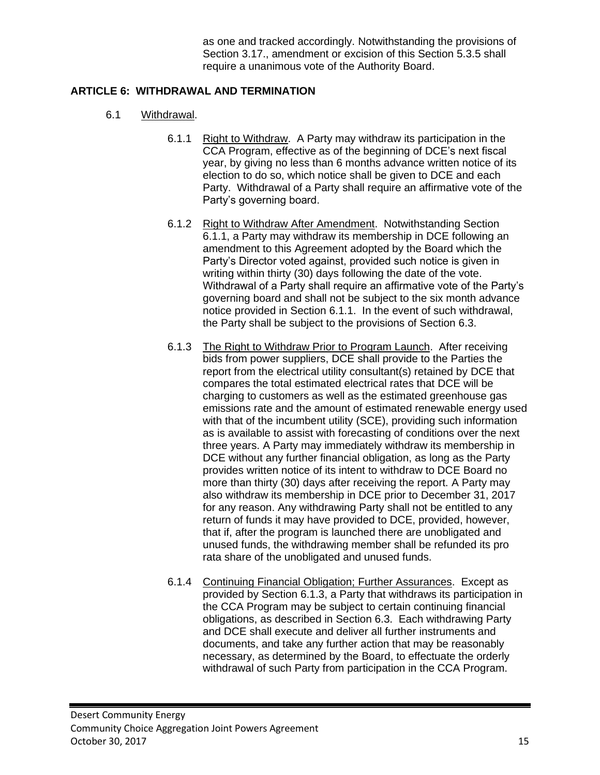as one and tracked accordingly. Notwithstanding the provisions of Section 3.17., amendment or excision of this Section 5.3.5 shall require a unanimous vote of the Authority Board.

## **ARTICLE 6: WITHDRAWAL AND TERMINATION**

- 6.1 Withdrawal.
	- 6.1.1 Right to Withdraw. A Party may withdraw its participation in the CCA Program, effective as of the beginning of DCE's next fiscal year, by giving no less than 6 months advance written notice of its election to do so, which notice shall be given to DCE and each Party. Withdrawal of a Party shall require an affirmative vote of the Party's governing board.
	- 6.1.2 Right to Withdraw After Amendment. Notwithstanding Section 6.1.1, a Party may withdraw its membership in DCE following an amendment to this Agreement adopted by the Board which the Party's Director voted against, provided such notice is given in writing within thirty (30) days following the date of the vote. Withdrawal of a Party shall require an affirmative vote of the Party's governing board and shall not be subject to the six month advance notice provided in Section 6.1.1. In the event of such withdrawal, the Party shall be subject to the provisions of Section 6.3.
	- 6.1.3 The Right to Withdraw Prior to Program Launch. After receiving bids from power suppliers, DCE shall provide to the Parties the report from the electrical utility consultant(s) retained by DCE that compares the total estimated electrical rates that DCE will be charging to customers as well as the estimated greenhouse gas emissions rate and the amount of estimated renewable energy used with that of the incumbent utility (SCE), providing such information as is available to assist with forecasting of conditions over the next three years. A Party may immediately withdraw its membership in DCE without any further financial obligation, as long as the Party provides written notice of its intent to withdraw to DCE Board no more than thirty (30) days after receiving the report. A Party may also withdraw its membership in DCE prior to December 31, 2017 for any reason. Any withdrawing Party shall not be entitled to any return of funds it may have provided to DCE, provided, however, that if, after the program is launched there are unobligated and unused funds, the withdrawing member shall be refunded its pro rata share of the unobligated and unused funds.
	- 6.1.4 Continuing Financial Obligation; Further Assurances. Except as provided by Section 6.1.3, a Party that withdraws its participation in the CCA Program may be subject to certain continuing financial obligations, as described in Section 6.3. Each withdrawing Party and DCE shall execute and deliver all further instruments and documents, and take any further action that may be reasonably necessary, as determined by the Board, to effectuate the orderly withdrawal of such Party from participation in the CCA Program.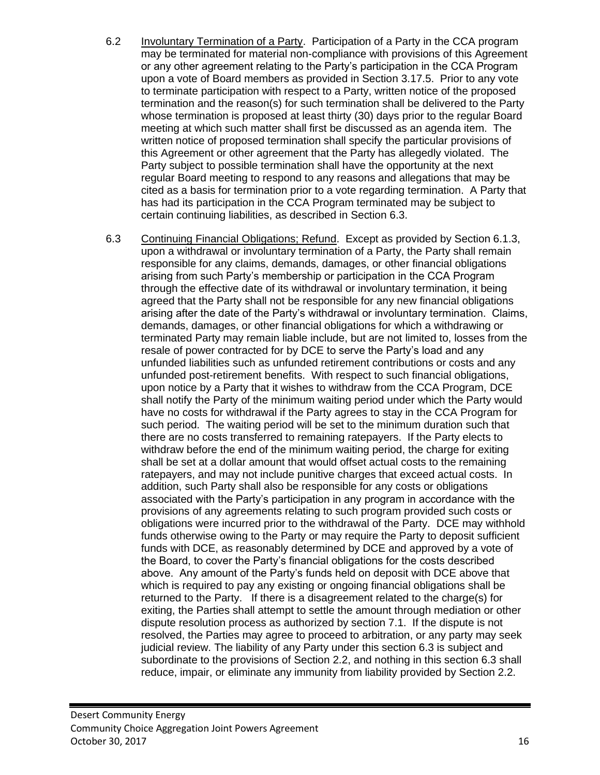- 6.2 Involuntary Termination of a Party. Participation of a Party in the CCA program may be terminated for material non-compliance with provisions of this Agreement or any other agreement relating to the Party's participation in the CCA Program upon a vote of Board members as provided in Section 3.17.5. Prior to any vote to terminate participation with respect to a Party, written notice of the proposed termination and the reason(s) for such termination shall be delivered to the Party whose termination is proposed at least thirty (30) days prior to the regular Board meeting at which such matter shall first be discussed as an agenda item. The written notice of proposed termination shall specify the particular provisions of this Agreement or other agreement that the Party has allegedly violated. The Party subject to possible termination shall have the opportunity at the next regular Board meeting to respond to any reasons and allegations that may be cited as a basis for termination prior to a vote regarding termination. A Party that has had its participation in the CCA Program terminated may be subject to certain continuing liabilities, as described in Section 6.3.
- 6.3 Continuing Financial Obligations; Refund. Except as provided by Section 6.1.3, upon a withdrawal or involuntary termination of a Party, the Party shall remain responsible for any claims, demands, damages, or other financial obligations arising from such Party's membership or participation in the CCA Program through the effective date of its withdrawal or involuntary termination, it being agreed that the Party shall not be responsible for any new financial obligations arising after the date of the Party's withdrawal or involuntary termination. Claims, demands, damages, or other financial obligations for which a withdrawing or terminated Party may remain liable include, but are not limited to, losses from the resale of power contracted for by DCE to serve the Party's load and any unfunded liabilities such as unfunded retirement contributions or costs and any unfunded post-retirement benefits. With respect to such financial obligations, upon notice by a Party that it wishes to withdraw from the CCA Program, DCE shall notify the Party of the minimum waiting period under which the Party would have no costs for withdrawal if the Party agrees to stay in the CCA Program for such period. The waiting period will be set to the minimum duration such that there are no costs transferred to remaining ratepayers. If the Party elects to withdraw before the end of the minimum waiting period, the charge for exiting shall be set at a dollar amount that would offset actual costs to the remaining ratepayers, and may not include punitive charges that exceed actual costs. In addition, such Party shall also be responsible for any costs or obligations associated with the Party's participation in any program in accordance with the provisions of any agreements relating to such program provided such costs or obligations were incurred prior to the withdrawal of the Party. DCE may withhold funds otherwise owing to the Party or may require the Party to deposit sufficient funds with DCE, as reasonably determined by DCE and approved by a vote of the Board, to cover the Party's financial obligations for the costs described above. Any amount of the Party's funds held on deposit with DCE above that which is required to pay any existing or ongoing financial obligations shall be returned to the Party. If there is a disagreement related to the charge(s) for exiting, the Parties shall attempt to settle the amount through mediation or other dispute resolution process as authorized by section 7.1. If the dispute is not resolved, the Parties may agree to proceed to arbitration, or any party may seek judicial review. The liability of any Party under this section 6.3 is subject and subordinate to the provisions of Section 2.2, and nothing in this section 6.3 shall reduce, impair, or eliminate any immunity from liability provided by Section 2.2.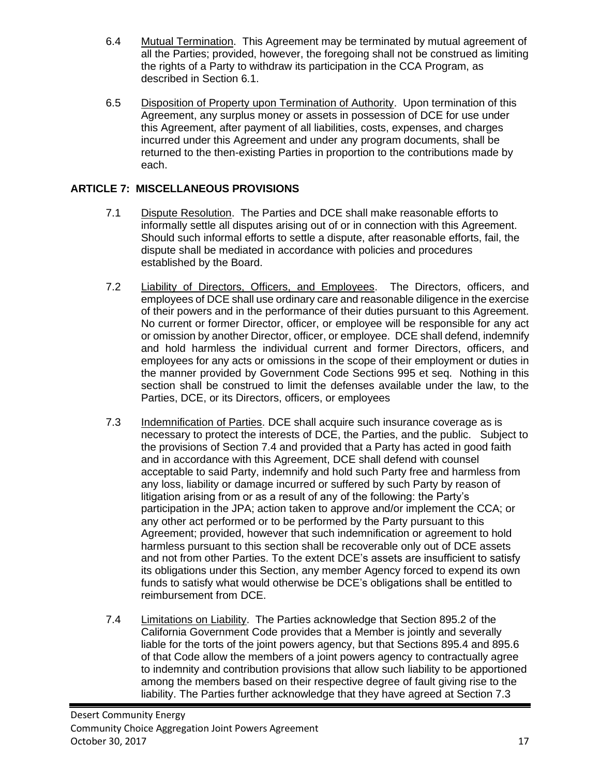- 6.4 Mutual Termination. This Agreement may be terminated by mutual agreement of all the Parties; provided, however, the foregoing shall not be construed as limiting the rights of a Party to withdraw its participation in the CCA Program, as described in Section 6.1.
- 6.5 Disposition of Property upon Termination of Authority. Upon termination of this Agreement, any surplus money or assets in possession of DCE for use under this Agreement, after payment of all liabilities, costs, expenses, and charges incurred under this Agreement and under any program documents, shall be returned to the then-existing Parties in proportion to the contributions made by each.

## **ARTICLE 7: MISCELLANEOUS PROVISIONS**

- 7.1 Dispute Resolution. The Parties and DCE shall make reasonable efforts to informally settle all disputes arising out of or in connection with this Agreement. Should such informal efforts to settle a dispute, after reasonable efforts, fail, the dispute shall be mediated in accordance with policies and procedures established by the Board.
- 7.2 Liability of Directors, Officers, and Employees. The Directors, officers, and employees of DCE shall use ordinary care and reasonable diligence in the exercise of their powers and in the performance of their duties pursuant to this Agreement. No current or former Director, officer, or employee will be responsible for any act or omission by another Director, officer, or employee. DCE shall defend, indemnify and hold harmless the individual current and former Directors, officers, and employees for any acts or omissions in the scope of their employment or duties in the manner provided by Government Code Sections 995 et seq. Nothing in this section shall be construed to limit the defenses available under the law, to the Parties, DCE, or its Directors, officers, or employees
- 7.3 Indemnification of Parties. DCE shall acquire such insurance coverage as is necessary to protect the interests of DCE, the Parties, and the public. Subject to the provisions of Section 7.4 and provided that a Party has acted in good faith and in accordance with this Agreement, DCE shall defend with counsel acceptable to said Party, indemnify and hold such Party free and harmless from any loss, liability or damage incurred or suffered by such Party by reason of litigation arising from or as a result of any of the following: the Party's participation in the JPA; action taken to approve and/or implement the CCA; or any other act performed or to be performed by the Party pursuant to this Agreement; provided, however that such indemnification or agreement to hold harmless pursuant to this section shall be recoverable only out of DCE assets and not from other Parties. To the extent DCE's assets are insufficient to satisfy its obligations under this Section, any member Agency forced to expend its own funds to satisfy what would otherwise be DCE's obligations shall be entitled to reimbursement from DCE.
- 7.4 Limitations on Liability. The Parties acknowledge that Section 895.2 of the California Government Code provides that a Member is jointly and severally liable for the torts of the joint powers agency, but that Sections 895.4 and 895.6 of that Code allow the members of a joint powers agency to contractually agree to indemnity and contribution provisions that allow such liability to be apportioned among the members based on their respective degree of fault giving rise to the liability. The Parties further acknowledge that they have agreed at Section 7.3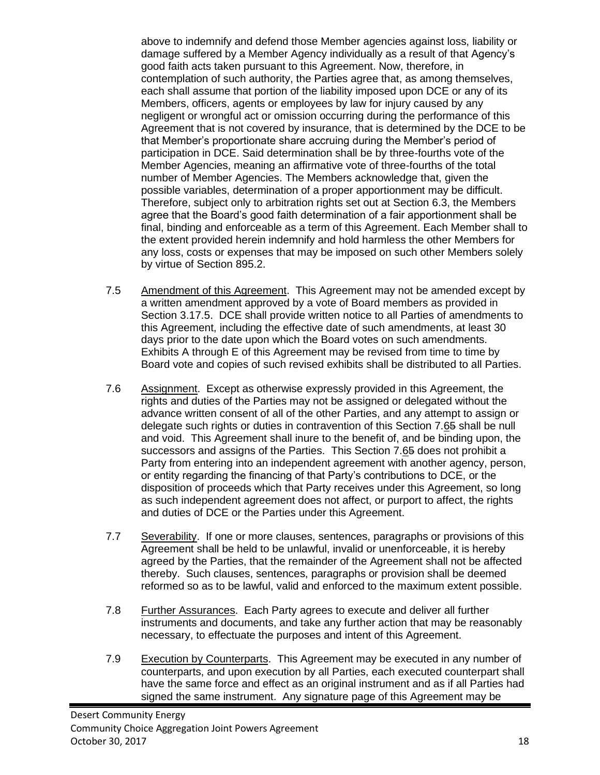above to indemnify and defend those Member agencies against loss, liability or damage suffered by a Member Agency individually as a result of that Agency's good faith acts taken pursuant to this Agreement. Now, therefore, in contemplation of such authority, the Parties agree that, as among themselves, each shall assume that portion of the liability imposed upon DCE or any of its Members, officers, agents or employees by law for injury caused by any negligent or wrongful act or omission occurring during the performance of this Agreement that is not covered by insurance, that is determined by the DCE to be that Member's proportionate share accruing during the Member's period of participation in DCE. Said determination shall be by three-fourths vote of the Member Agencies, meaning an affirmative vote of three-fourths of the total number of Member Agencies. The Members acknowledge that, given the possible variables, determination of a proper apportionment may be difficult. Therefore, subject only to arbitration rights set out at Section 6.3, the Members agree that the Board's good faith determination of a fair apportionment shall be final, binding and enforceable as a term of this Agreement. Each Member shall to the extent provided herein indemnify and hold harmless the other Members for any loss, costs or expenses that may be imposed on such other Members solely by virtue of Section 895.2.

- 7.5 Amendment of this Agreement. This Agreement may not be amended except by a written amendment approved by a vote of Board members as provided in Section 3.17.5. DCE shall provide written notice to all Parties of amendments to this Agreement, including the effective date of such amendments, at least 30 days prior to the date upon which the Board votes on such amendments. Exhibits A through E of this Agreement may be revised from time to time by Board vote and copies of such revised exhibits shall be distributed to all Parties.
- 7.6 Assignment. Except as otherwise expressly provided in this Agreement, the rights and duties of the Parties may not be assigned or delegated without the advance written consent of all of the other Parties, and any attempt to assign or delegate such rights or duties in contravention of this Section 7.65 shall be null and void. This Agreement shall inure to the benefit of, and be binding upon, the successors and assigns of the Parties. This Section 7.65 does not prohibit a Party from entering into an independent agreement with another agency, person, or entity regarding the financing of that Party's contributions to DCE, or the disposition of proceeds which that Party receives under this Agreement, so long as such independent agreement does not affect, or purport to affect, the rights and duties of DCE or the Parties under this Agreement.
- 7.7 Severability. If one or more clauses, sentences, paragraphs or provisions of this Agreement shall be held to be unlawful, invalid or unenforceable, it is hereby agreed by the Parties, that the remainder of the Agreement shall not be affected thereby. Such clauses, sentences, paragraphs or provision shall be deemed reformed so as to be lawful, valid and enforced to the maximum extent possible.
- 7.8 Further Assurances. Each Party agrees to execute and deliver all further instruments and documents, and take any further action that may be reasonably necessary, to effectuate the purposes and intent of this Agreement.
- 7.9 Execution by Counterparts. This Agreement may be executed in any number of counterparts, and upon execution by all Parties, each executed counterpart shall have the same force and effect as an original instrument and as if all Parties had signed the same instrument. Any signature page of this Agreement may be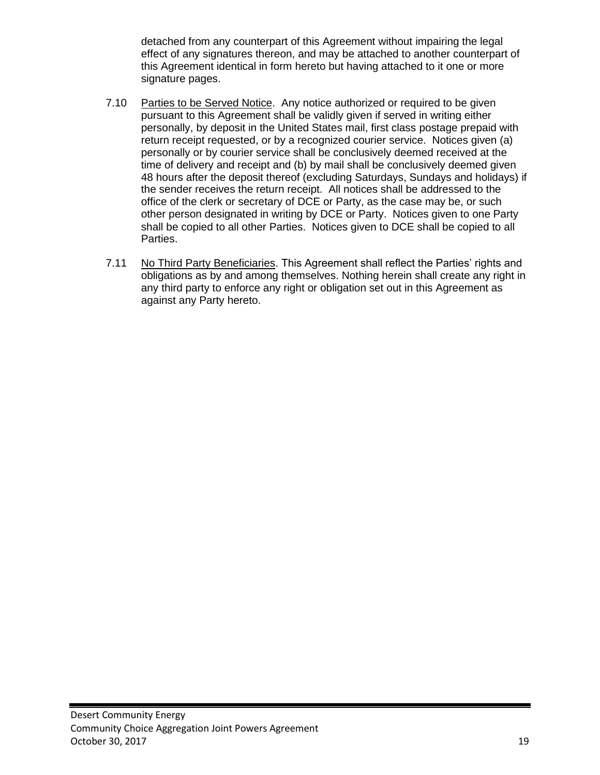detached from any counterpart of this Agreement without impairing the legal effect of any signatures thereon, and may be attached to another counterpart of this Agreement identical in form hereto but having attached to it one or more signature pages.

- 7.10 Parties to be Served Notice. Any notice authorized or required to be given pursuant to this Agreement shall be validly given if served in writing either personally, by deposit in the United States mail, first class postage prepaid with return receipt requested, or by a recognized courier service. Notices given (a) personally or by courier service shall be conclusively deemed received at the time of delivery and receipt and (b) by mail shall be conclusively deemed given 48 hours after the deposit thereof (excluding Saturdays, Sundays and holidays) if the sender receives the return receipt. All notices shall be addressed to the office of the clerk or secretary of DCE or Party, as the case may be, or such other person designated in writing by DCE or Party. Notices given to one Party shall be copied to all other Parties. Notices given to DCE shall be copied to all Parties.
- 7.11 No Third Party Beneficiaries. This Agreement shall reflect the Parties' rights and obligations as by and among themselves. Nothing herein shall create any right in any third party to enforce any right or obligation set out in this Agreement as against any Party hereto.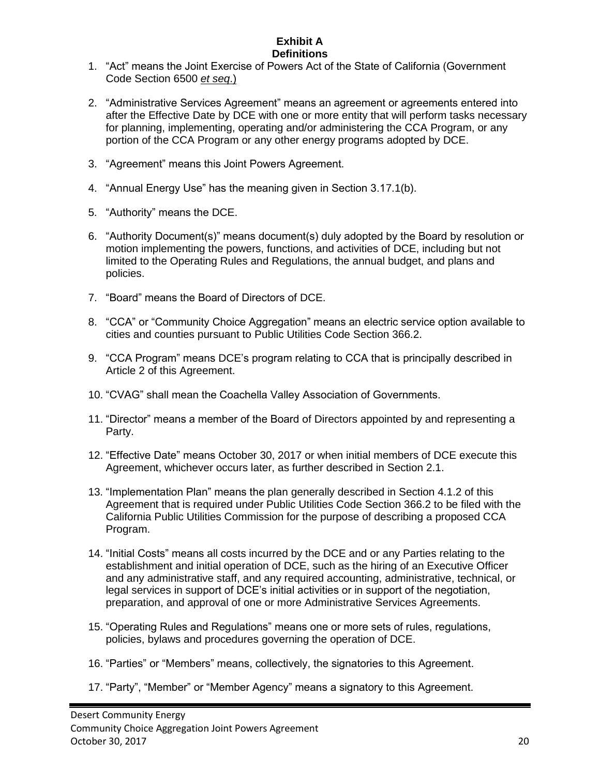### **Exhibit A Definitions**

- 1. "Act" means the Joint Exercise of Powers Act of the State of California (Government Code Section 6500 *et seq*.)
- 2. "Administrative Services Agreement" means an agreement or agreements entered into after the Effective Date by DCE with one or more entity that will perform tasks necessary for planning, implementing, operating and/or administering the CCA Program, or any portion of the CCA Program or any other energy programs adopted by DCE.
- 3. "Agreement" means this Joint Powers Agreement.
- 4. "Annual Energy Use" has the meaning given in Section 3.17.1(b).
- 5. "Authority" means the DCE.
- 6. "Authority Document(s)" means document(s) duly adopted by the Board by resolution or motion implementing the powers, functions, and activities of DCE, including but not limited to the Operating Rules and Regulations, the annual budget, and plans and policies.
- 7. "Board" means the Board of Directors of DCE.
- 8. "CCA" or "Community Choice Aggregation" means an electric service option available to cities and counties pursuant to Public Utilities Code Section 366.2.
- 9. "CCA Program" means DCE's program relating to CCA that is principally described in Article 2 of this Agreement.
- 10. "CVAG" shall mean the Coachella Valley Association of Governments.
- 11. "Director" means a member of the Board of Directors appointed by and representing a Party.
- 12. "Effective Date" means October 30, 2017 or when initial members of DCE execute this Agreement, whichever occurs later, as further described in Section 2.1.
- 13. "Implementation Plan" means the plan generally described in Section 4.1.2 of this Agreement that is required under Public Utilities Code Section 366.2 to be filed with the California Public Utilities Commission for the purpose of describing a proposed CCA Program.
- 14. "Initial Costs" means all costs incurred by the DCE and or any Parties relating to the establishment and initial operation of DCE, such as the hiring of an Executive Officer and any administrative staff, and any required accounting, administrative, technical, or legal services in support of DCE's initial activities or in support of the negotiation, preparation, and approval of one or more Administrative Services Agreements.
- 15. "Operating Rules and Regulations" means one or more sets of rules, regulations, policies, bylaws and procedures governing the operation of DCE.
- 16. "Parties" or "Members" means, collectively, the signatories to this Agreement.
- 17. "Party", "Member" or "Member Agency" means a signatory to this Agreement.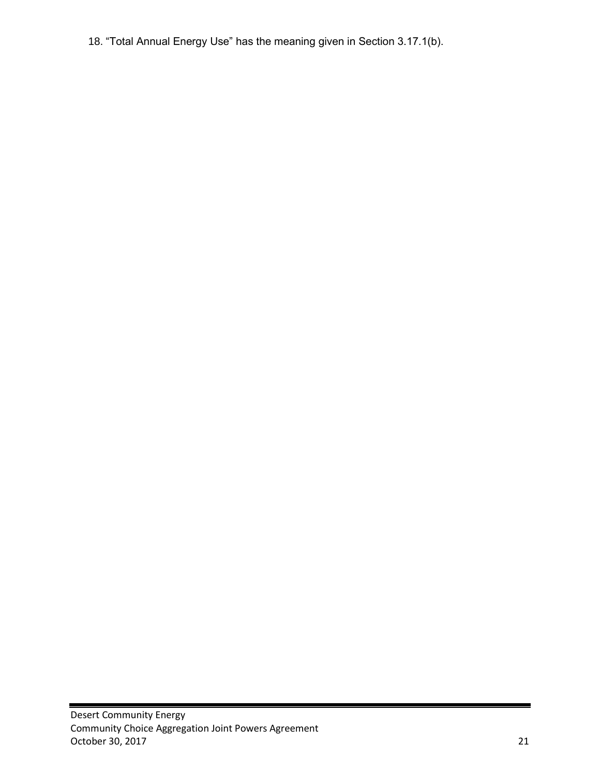18. "Total Annual Energy Use" has the meaning given in Section 3.17.1(b).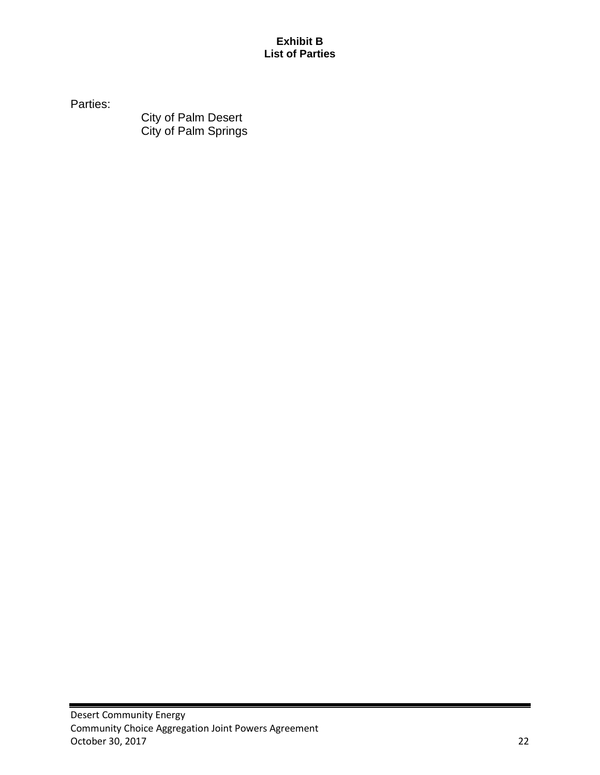## **Exhibit B List of Parties**

Parties:

City of Palm Desert City of Palm Springs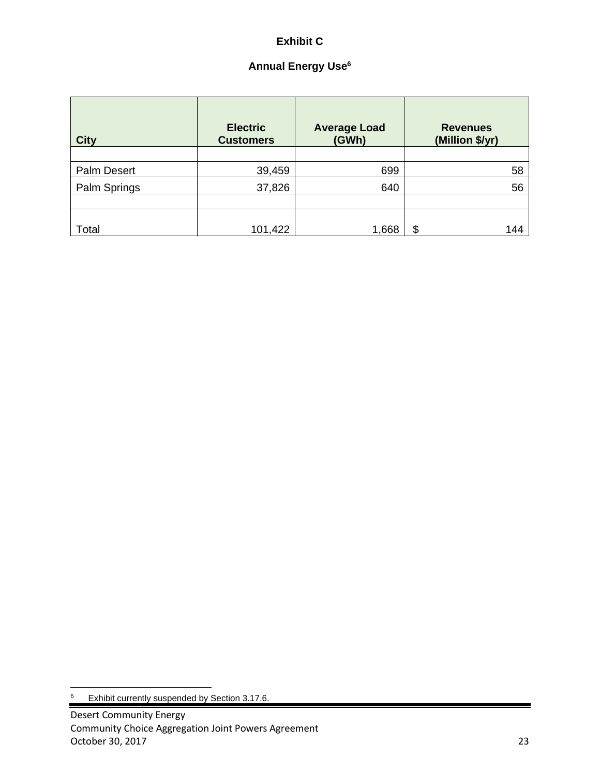# **Exhibit C**

# **Annual Energy Use<sup>6</sup>**

| <b>City</b>        | <b>Electric</b><br><b>Customers</b> | <b>Average Load</b><br>(GWh) | <b>Revenues</b><br>(Million \$/yr) |  |
|--------------------|-------------------------------------|------------------------------|------------------------------------|--|
|                    |                                     |                              |                                    |  |
| <b>Palm Desert</b> | 39,459                              | 699                          | 58                                 |  |
| Palm Springs       | 37,826                              | 640                          | 56                                 |  |
|                    |                                     |                              |                                    |  |
|                    |                                     |                              |                                    |  |
| Total              | 101,422                             | 1,668                        | $\boldsymbol{\mathsf{S}}$<br>144   |  |

<sup>6</sup> Exhibit currently suspended by Section 3.17.6.